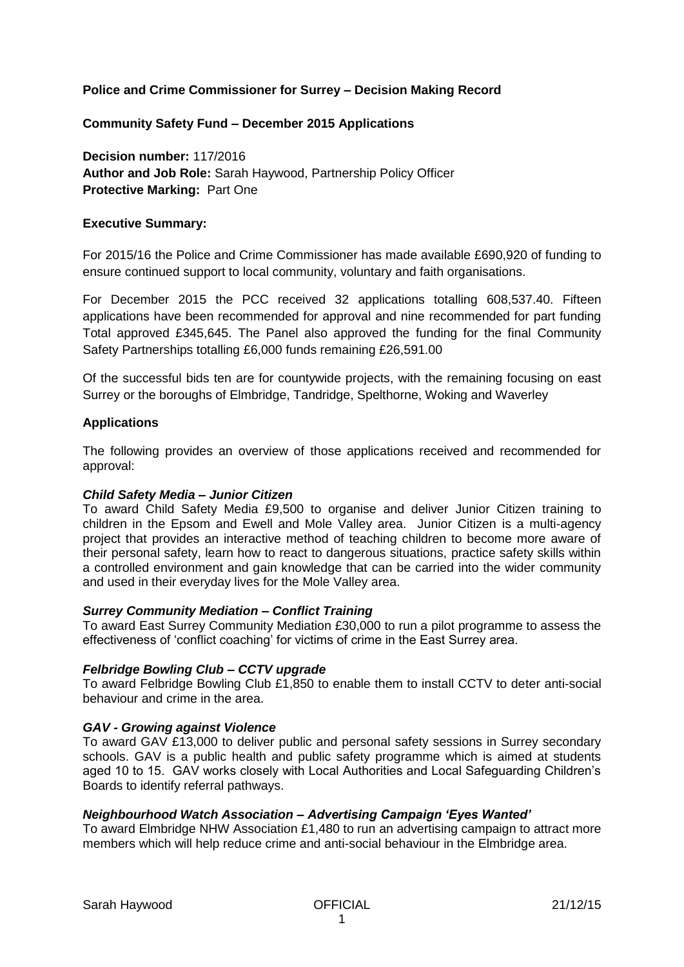# **Police and Crime Commissioner for Surrey – Decision Making Record**

# **Community Safety Fund – December 2015 Applications**

**Decision number:** 117/2016 **Author and Job Role:** Sarah Haywood, Partnership Policy Officer **Protective Marking:** Part One

## **Executive Summary:**

For 2015/16 the Police and Crime Commissioner has made available £690,920 of funding to ensure continued support to local community, voluntary and faith organisations.

For December 2015 the PCC received 32 applications totalling 608,537.40. Fifteen applications have been recommended for approval and nine recommended for part funding Total approved £345,645. The Panel also approved the funding for the final Community Safety Partnerships totalling £6,000 funds remaining £26,591.00

Of the successful bids ten are for countywide projects, with the remaining focusing on east Surrey or the boroughs of Elmbridge, Tandridge, Spelthorne, Woking and Waverley

# **Applications**

The following provides an overview of those applications received and recommended for approval:

# *Child Safety Media – Junior Citizen*

To award Child Safety Media £9,500 to organise and deliver Junior Citizen training to children in the Epsom and Ewell and Mole Valley area. Junior Citizen is a multi-agency project that provides an interactive method of teaching children to become more aware of their personal safety, learn how to react to dangerous situations, practice safety skills within a controlled environment and gain knowledge that can be carried into the wider community and used in their everyday lives for the Mole Valley area.

#### *Surrey Community Mediation – Conflict Training*

To award East Surrey Community Mediation £30,000 to run a pilot programme to assess the effectiveness of 'conflict coaching' for victims of crime in the East Surrey area.

# *Felbridge Bowling Club – CCTV upgrade*

To award Felbridge Bowling Club £1,850 to enable them to install CCTV to deter anti-social behaviour and crime in the area.

# *GAV - Growing against Violence*

To award GAV £13,000 to deliver public and personal safety sessions in Surrey secondary schools. GAV is a public health and public safety programme which is aimed at students aged 10 to 15. GAV works closely with Local Authorities and Local Safeguarding Children's Boards to identify referral pathways.

# *Neighbourhood Watch Association – Advertising Campaign 'Eyes Wanted'*

To award Elmbridge NHW Association £1,480 to run an advertising campaign to attract more members which will help reduce crime and anti-social behaviour in the Elmbridge area.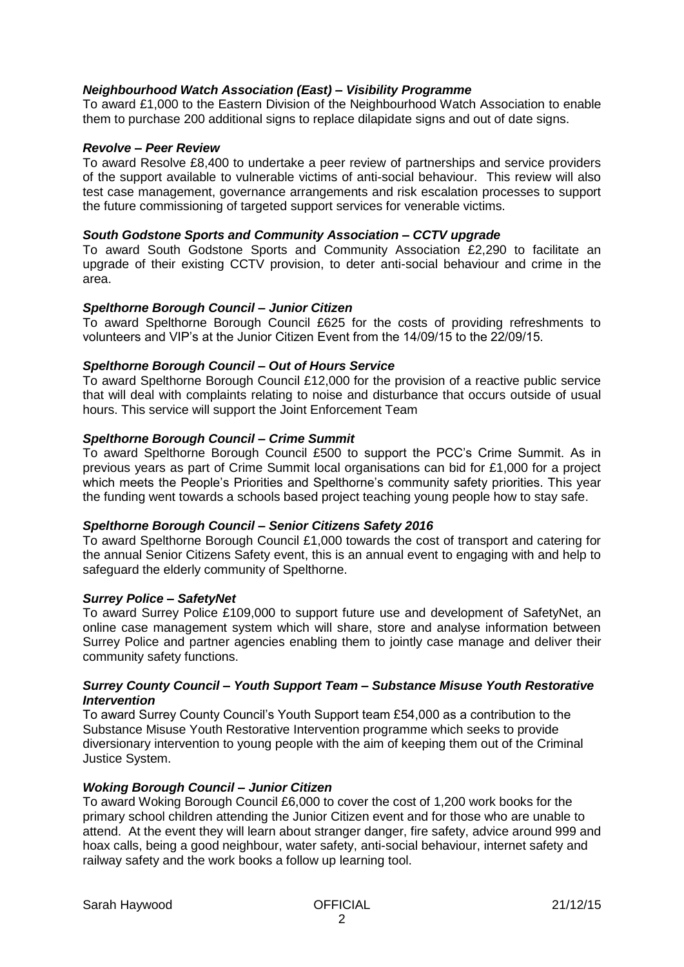## *Neighbourhood Watch Association (East) – Visibility Programme*

To award £1,000 to the Eastern Division of the Neighbourhood Watch Association to enable them to purchase 200 additional signs to replace dilapidate signs and out of date signs.

### *Revolve – Peer Review*

To award Resolve £8,400 to undertake a peer review of partnerships and service providers of the support available to vulnerable victims of anti-social behaviour. This review will also test case management, governance arrangements and risk escalation processes to support the future commissioning of targeted support services for venerable victims.

## *South Godstone Sports and Community Association – CCTV upgrade*

To award South Godstone Sports and Community Association £2,290 to facilitate an upgrade of their existing CCTV provision, to deter anti-social behaviour and crime in the area.

## *Spelthorne Borough Council – Junior Citizen*

To award Spelthorne Borough Council £625 for the costs of providing refreshments to volunteers and VIP's at the Junior Citizen Event from the 14/09/15 to the 22/09/15.

## *Spelthorne Borough Council – Out of Hours Service*

To award Spelthorne Borough Council £12,000 for the provision of a reactive public service that will deal with complaints relating to noise and disturbance that occurs outside of usual hours. This service will support the Joint Enforcement Team

## *Spelthorne Borough Council – Crime Summit*

To award Spelthorne Borough Council £500 to support the PCC's Crime Summit. As in previous years as part of Crime Summit local organisations can bid for £1,000 for a project which meets the People's Priorities and Spelthorne's community safety priorities. This year the funding went towards a schools based project teaching young people how to stay safe.

### *Spelthorne Borough Council – Senior Citizens Safety 2016*

To award Spelthorne Borough Council £1,000 towards the cost of transport and catering for the annual Senior Citizens Safety event, this is an annual event to engaging with and help to safeguard the elderly community of Spelthorne.

# *Surrey Police – SafetyNet*

To award Surrey Police £109,000 to support future use and development of SafetyNet, an online case management system which will share, store and analyse information between Surrey Police and partner agencies enabling them to jointly case manage and deliver their community safety functions.

#### *Surrey County Council – Youth Support Team – Substance Misuse Youth Restorative Intervention*

To award Surrey County Council's Youth Support team £54,000 as a contribution to the Substance Misuse Youth Restorative Intervention programme which seeks to provide diversionary intervention to young people with the aim of keeping them out of the Criminal Justice System.

# *Woking Borough Council – Junior Citizen*

To award Woking Borough Council £6,000 to cover the cost of 1,200 work books for the primary school children attending the Junior Citizen event and for those who are unable to attend. At the event they will learn about stranger danger, fire safety, advice around 999 and hoax calls, being a good neighbour, water safety, anti-social behaviour, internet safety and railway safety and the work books a follow up learning tool.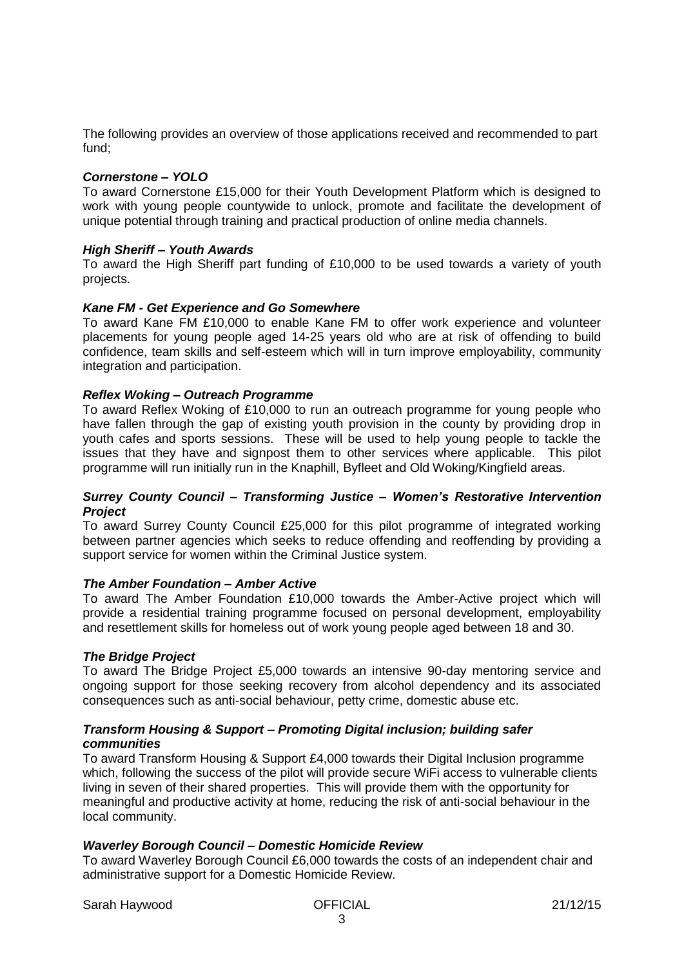The following provides an overview of those applications received and recommended to part fund;

#### *Cornerstone – YOLO*

To award Cornerstone £15,000 for their Youth Development Platform which is designed to work with young people countywide to unlock, promote and facilitate the development of unique potential through training and practical production of online media channels.

#### *High Sheriff – Youth Awards*

To award the High Sheriff part funding of £10,000 to be used towards a variety of youth projects.

### *Kane FM - Get Experience and Go Somewhere*

To award Kane FM £10,000 to enable Kane FM to offer work experience and volunteer placements for young people aged 14-25 years old who are at risk of offending to build confidence, team skills and self-esteem which will in turn improve employability, community integration and participation.

#### *Reflex Woking – Outreach Programme*

To award Reflex Woking of £10,000 to run an outreach programme for young people who have fallen through the gap of existing youth provision in the county by providing drop in youth cafes and sports sessions. These will be used to help young people to tackle the issues that they have and signpost them to other services where applicable. This pilot programme will run initially run in the Knaphill, Byfleet and Old Woking/Kingfield areas.

#### *Surrey County Council – Transforming Justice – Women's Restorative Intervention Project*

To award Surrey County Council £25,000 for this pilot programme of integrated working between partner agencies which seeks to reduce offending and reoffending by providing a support service for women within the Criminal Justice system.

#### *The Amber Foundation – Amber Active*

To award The Amber Foundation £10,000 towards the Amber-Active project which will provide a residential training programme focused on personal development, employability and resettlement skills for homeless out of work young people aged between 18 and 30.

#### *The Bridge Project*

To award The Bridge Project £5,000 towards an intensive 90-day mentoring service and ongoing support for those seeking recovery from alcohol dependency and its associated consequences such as anti-social behaviour, petty crime, domestic abuse etc.

## *Transform Housing & Support – Promoting Digital inclusion; building safer communities*

To award Transform Housing & Support £4,000 towards their Digital Inclusion programme which, following the success of the pilot will provide secure WiFi access to vulnerable clients living in seven of their shared properties. This will provide them with the opportunity for meaningful and productive activity at home, reducing the risk of anti-social behaviour in the local community.

## *Waverley Borough Council – Domestic Homicide Review*

To award Waverley Borough Council £6,000 towards the costs of an independent chair and administrative support for a Domestic Homicide Review.

Sarah Haywood OFFICIAL 21/12/15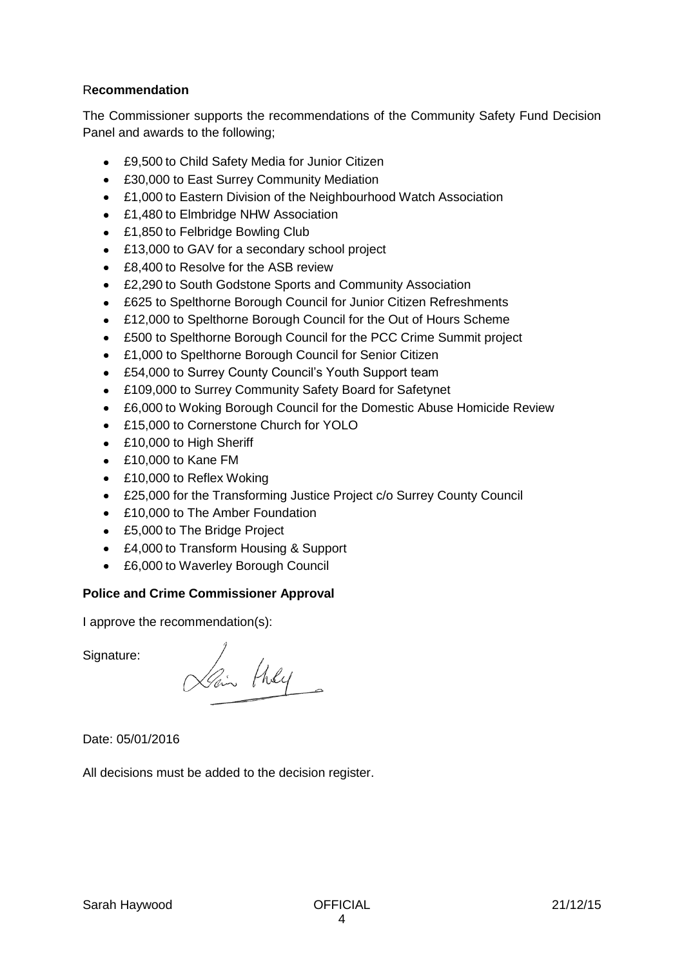# R**ecommendation**

The Commissioner supports the recommendations of the Community Safety Fund Decision Panel and awards to the following;

- £9,500 to Child Safety Media for Junior Citizen
- £30,000 to East Surrey Community Mediation
- £1,000 to Eastern Division of the Neighbourhood Watch Association
- £1,480 to Elmbridge NHW Association
- £1,850 to Felbridge Bowling Club
- £13,000 to GAV for a secondary school project
- £8,400 to Resolve for the ASB review
- £2,290 to South Godstone Sports and Community Association
- £625 to Spelthorne Borough Council for Junior Citizen Refreshments
- £12,000 to Spelthorne Borough Council for the Out of Hours Scheme
- £500 to Spelthorne Borough Council for the PCC Crime Summit project
- £1,000 to Spelthorne Borough Council for Senior Citizen
- £54,000 to Surrey County Council's Youth Support team
- £109,000 to Surrey Community Safety Board for Safetynet
- £6,000 to Woking Borough Council for the Domestic Abuse Homicide Review  $\bullet$
- £15,000 to Cornerstone Church for YOLO
- £10,000 to High Sheriff
- £10,000 to Kane FM
- £10,000 to Reflex Woking
- £25,000 for the Transforming Justice Project c/o Surrey County Council
- £10,000 to The Amber Foundation
- £5,000 to The Bridge Project
- £4,000 to Transform Housing & Support
- £6,000 to Waverley Borough Council

# **Police and Crime Commissioner Approval**

I approve the recommendation(s):

Signature:

Lain they

Date: 05/01/2016

All decisions must be added to the decision register.